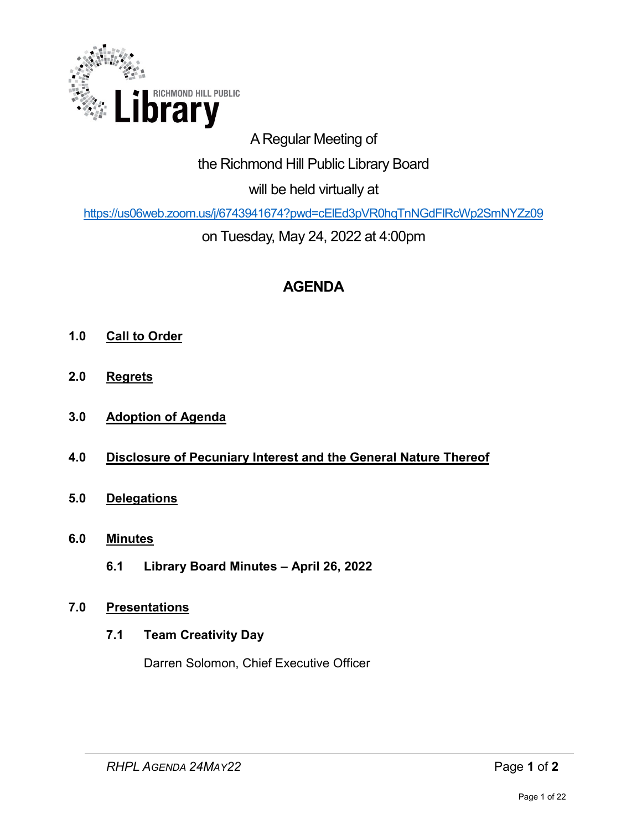

# A Regular Meeting of the Richmond Hill Public Library Board will be held virtually at

<https://us06web.zoom.us/j/6743941674?pwd=cElEd3pVR0hqTnNGdFlRcWp2SmNYZz09>

on Tuesday, May 24, 2022 at 4:00pm

# **AGENDA**

- **1.0 Call to Order**
- **2.0 Regrets**
- **3.0 Adoption of Agenda**
- **4.0 Disclosure of Pecuniary Interest and the General Nature Thereof**
- **5.0 Delegations**
- **6.0 Minutes** 
	- **6.1 Library Board Minutes April 26, 2022**

## **7.0 Presentations**

## **7.1 Team Creativity Day**

Darren Solomon, Chief Executive Officer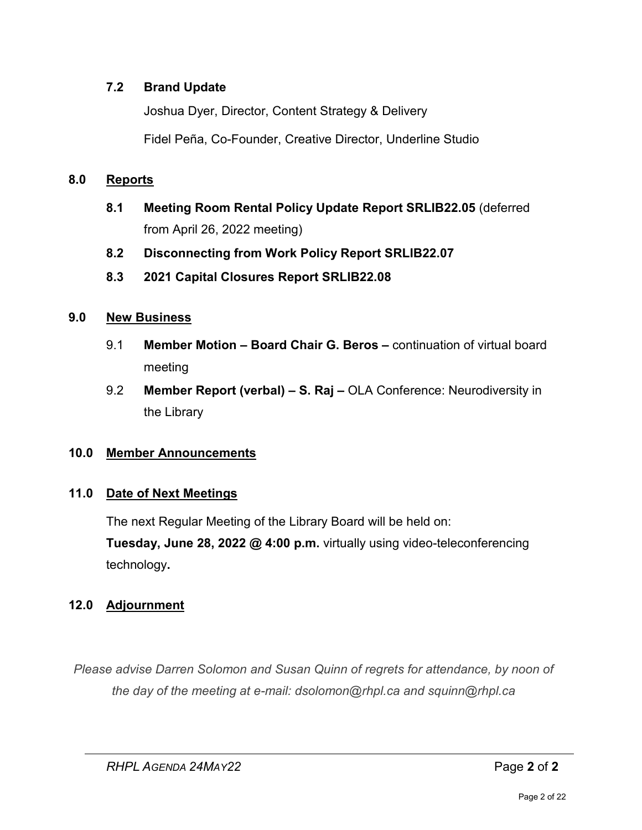## **7.2 Brand Update**

Joshua Dyer, Director, Content Strategy & Delivery

Fidel Peña, Co-Founder, Creative Director, Underline Studio

## **8.0 Reports**

- **8.1 Meeting Room Rental Policy Update Report SRLIB22.05** (deferred from April 26, 2022 meeting)
- **8.2 Disconnecting from Work Policy Report SRLIB22.07**
- **8.3 2021 Capital Closures Report SRLIB22.08**

## **9.0 New Business**

- 9.1 **Member Motion Board Chair G. Beros** continuation of virtual board meeting
- 9.2 **Member Report (verbal) – S. Raj –** OLA Conference: Neurodiversity in the Library

## **10.0 Member Announcements**

## **11.0 Date of Next Meetings**

The next Regular Meeting of the Library Board will be held on: **Tuesday, June 28, 2022 @ 4:00 p.m.** virtually using video-teleconferencing technology**.** 

## **12.0 Adjournment**

*Please advise Darren Solomon and Susan Quinn of regrets for attendance, by noon of the day of the meeting at e-mail: dsolomon@rhpl.ca and squinn@rhpl.ca*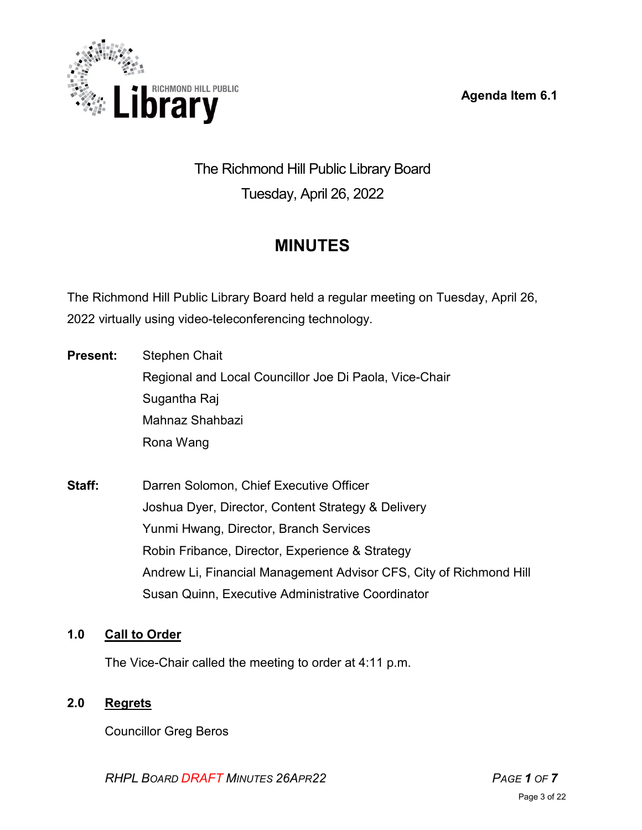**Agenda Item 6.1** 



# The Richmond Hill Public Library Board Tuesday, April 26, 2022

# **MINUTES**

The Richmond Hill Public Library Board held a regular meeting on Tuesday, April 26, 2022 virtually using video-teleconferencing technology.

**Present:** Stephen Chait Regional and Local Councillor Joe Di Paola, Vice-Chair Sugantha Raj Mahnaz Shahbazi Rona Wang

**Staff:** Darren Solomon, Chief Executive Officer Joshua Dyer, Director, Content Strategy & Delivery Yunmi Hwang, Director, Branch Services Robin Fribance, Director, Experience & Strategy Andrew Li, Financial Management Advisor CFS, City of Richmond Hill Susan Quinn, Executive Administrative Coordinator

## **1.0 Call to Order**

The Vice-Chair called the meeting to order at 4:11 p.m.

## **2.0 Regrets**

Councillor Greg Beros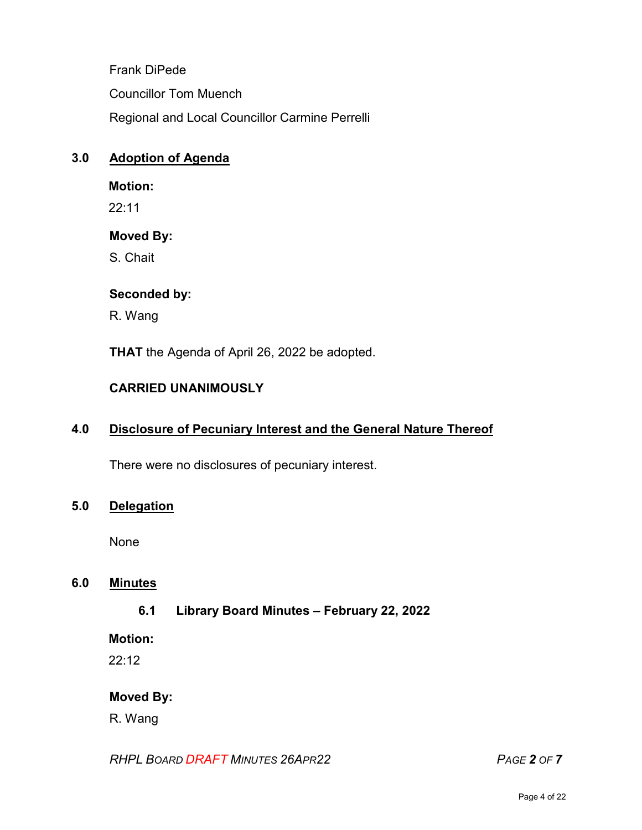Frank DiPede Councillor Tom Muench Regional and Local Councillor Carmine Perrelli

## **3.0 Adoption of Agenda**

#### **Motion:**

22:11

## **Moved By:**

S. Chait

## **Seconded by:**

R. Wang

**THAT** the Agenda of April 26, 2022 be adopted.

## **CARRIED UNANIMOUSLY**

## **4.0 Disclosure of Pecuniary Interest and the General Nature Thereof**

There were no disclosures of pecuniary interest.

## **5.0 Delegation**

None

## **6.0 Minutes**

**6.1 Library Board Minutes – February 22, 2022** 

**Motion:**

22:12

## **Moved By:**

R. Wang

*RHPL BOARD DRAFT MINUTES 26APR22 PAGE 2 OF 7*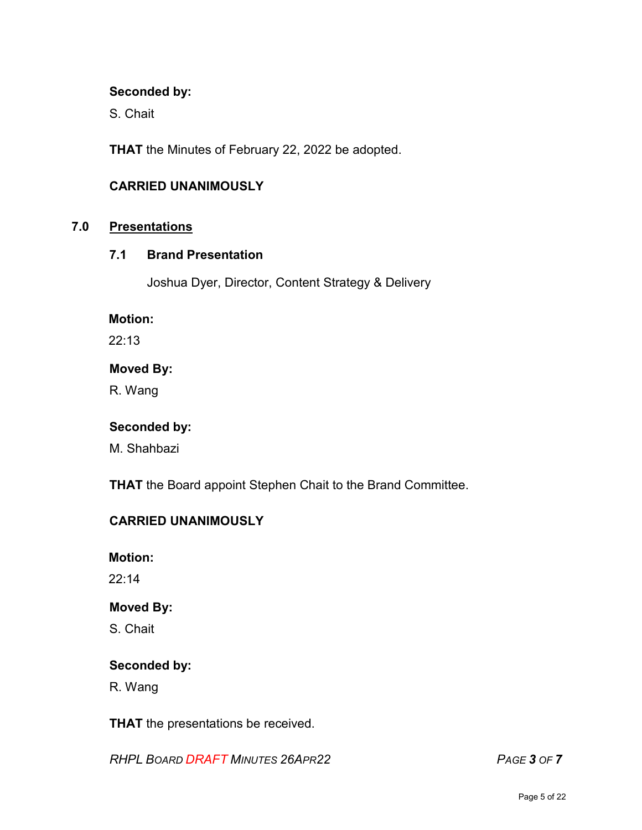#### **Seconded by:**

S. Chait

**THAT** the Minutes of February 22, 2022 be adopted.

#### **CARRIED UNANIMOUSLY**

## **7.0 Presentations**

## **7.1 Brand Presentation**

Joshua Dyer, Director, Content Strategy & Delivery

#### **Motion:**

22:13

#### **Moved By:**

R. Wang

#### **Seconded by:**

M. Shahbazi

**THAT** the Board appoint Stephen Chait to the Brand Committee.

## **CARRIED UNANIMOUSLY**

**Motion:**

22:14

#### **Moved By:**

S. Chait

#### **Seconded by:**

R. Wang

**THAT** the presentations be received.

*RHPL BOARD DRAFT MINUTES 26APR22 PAGE 3 OF 7*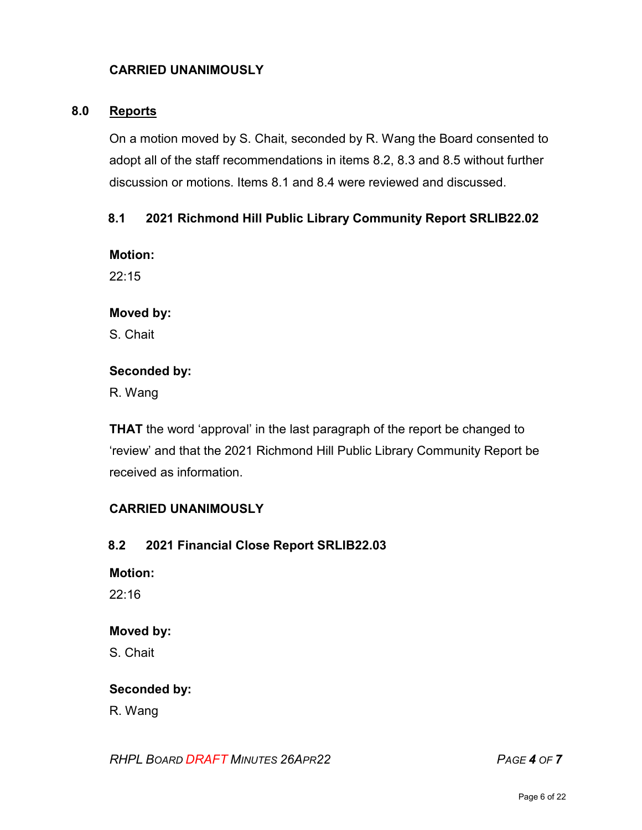## **CARRIED UNANIMOUSLY**

#### **8.0 Reports**

On a motion moved by S. Chait, seconded by R. Wang the Board consented to adopt all of the staff recommendations in items 8.2, 8.3 and 8.5 without further discussion or motions. Items 8.1 and 8.4 were reviewed and discussed.

#### **8.1 2021 Richmond Hill Public Library Community Report SRLIB22.02**

**Motion:** 

22:15

#### **Moved by:**

S. Chait

#### **Seconded by:**

R. Wang

**THAT** the word 'approval' in the last paragraph of the report be changed to 'review' and that the 2021 Richmond Hill Public Library Community Report be received as information.

#### **CARRIED UNANIMOUSLY**

#### **8.2 2021 Financial Close Report SRLIB22.03**

#### **Motion:**

22:16

#### **Moved by:**

S. Chait

#### **Seconded by:**

R. Wang

#### *RHPL BOARD DRAFT MINUTES 26APR22 PAGE 4 OF 7*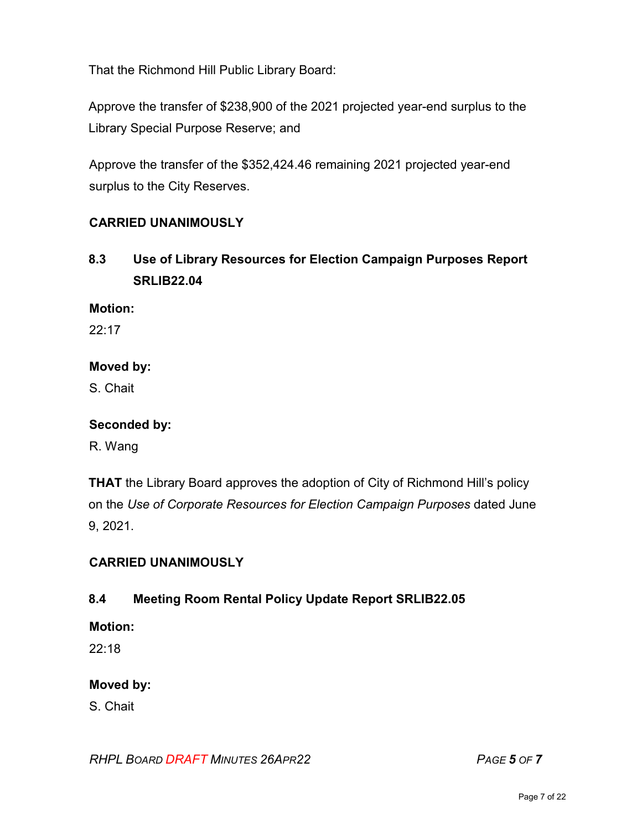That the Richmond Hill Public Library Board:

Approve the transfer of \$238,900 of the 2021 projected year-end surplus to the Library Special Purpose Reserve; and

Approve the transfer of the \$352,424.46 remaining 2021 projected year-end surplus to the City Reserves.

## **CARRIED UNANIMOUSLY**

**8.3 Use of Library Resources for Election Campaign Purposes Report SRLIB22.04**

#### **Motion:**

22:17

#### **Moved by:**

S. Chait

#### **Seconded by:**

R. Wang

**THAT** the Library Board approves the adoption of City of Richmond Hill's policy on the *Use of Corporate Resources for Election Campaign Purposes* dated June 9, 2021.

#### **CARRIED UNANIMOUSLY**

## **8.4 Meeting Room Rental Policy Update Report SRLIB22.05**

#### **Motion:**

22:18

## **Moved by:**

S. Chait

#### *RHPL BOARD DRAFT MINUTES 26APR22 PAGE 5 OF 7*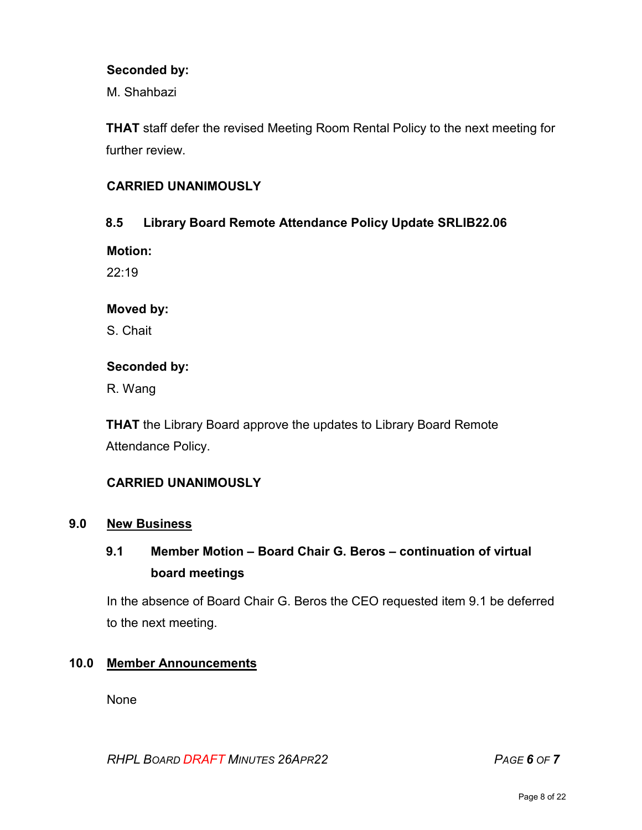#### **Seconded by:**

M. Shahbazi

**THAT** staff defer the revised Meeting Room Rental Policy to the next meeting for further review

#### **CARRIED UNANIMOUSLY**

#### **8.5 Library Board Remote Attendance Policy Update SRLIB22.06**

**Motion:** 

22:19

#### **Moved by:**

S. Chait

#### **Seconded by:**

R. Wang

**THAT** the Library Board approve the updates to Library Board Remote Attendance Policy.

## **CARRIED UNANIMOUSLY**

#### **9.0 New Business**

## **9.1 Member Motion – Board Chair G. Beros – continuation of virtual board meetings**

In the absence of Board Chair G. Beros the CEO requested item 9.1 be deferred to the next meeting.

#### **10.0 Member Announcements**

None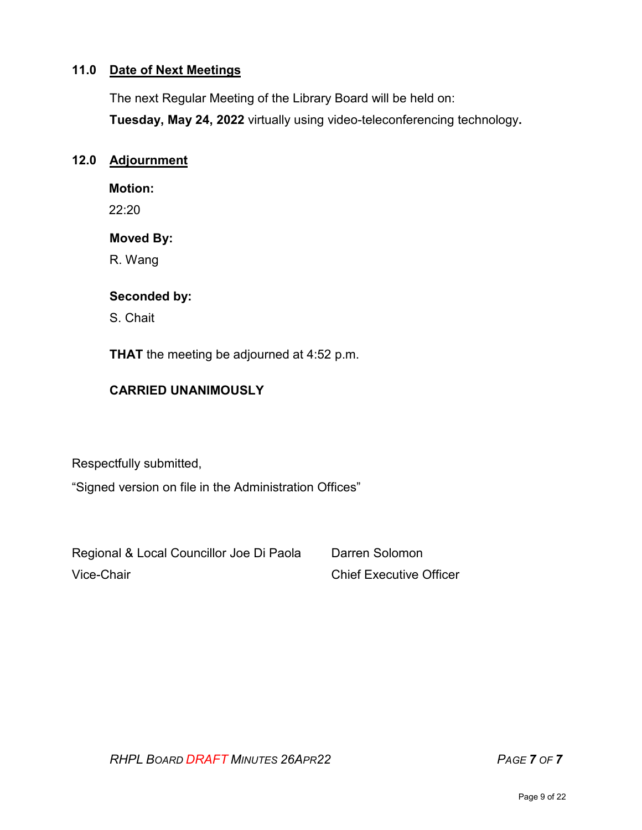## **11.0 Date of Next Meetings**

The next Regular Meeting of the Library Board will be held on:

**Tuesday, May 24, 2022** virtually using video-teleconferencing technology**.** 

#### **12.0 Adjournment**

**Motion:** 

22:20

#### **Moved By:**

R. Wang

#### **Seconded by:**

S. Chait

**THAT** the meeting be adjourned at 4:52 p.m.

## **CARRIED UNANIMOUSLY**

Respectfully submitted,

"Signed version on file in the Administration Offices"

Regional & Local Councillor Joe Di Paola Darren Solomon Vice-Chair **Chief Executive Officer** Chief Executive Officer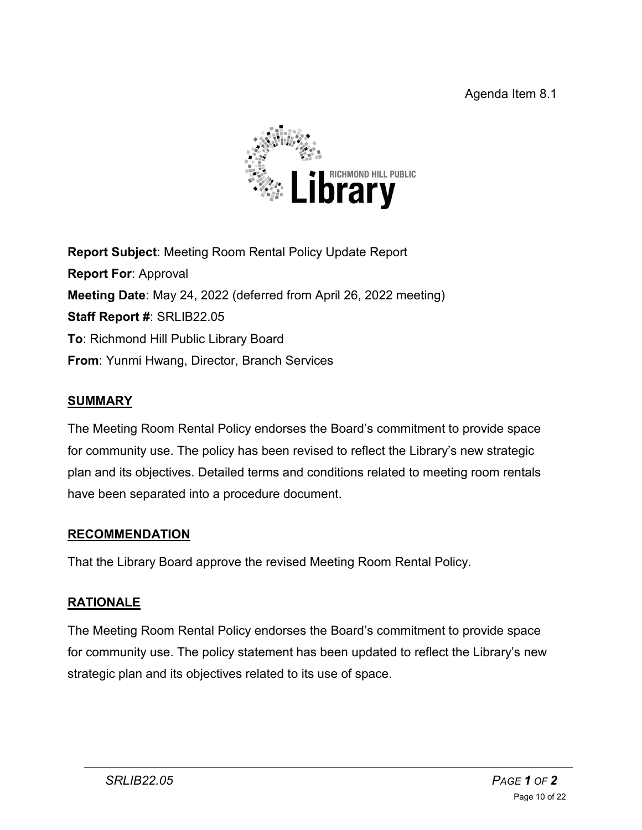

**Report Subject**: Meeting Room Rental Policy Update Report **Report For**: Approval **Meeting Date**: May 24, 2022 (deferred from April 26, 2022 meeting) **Staff Report #**: SRLIB22.05 **To**: Richmond Hill Public Library Board **From**: Yunmi Hwang, Director, Branch Services

## **SUMMARY**

The Meeting Room Rental Policy endorses the Board's commitment to provide space for community use. The policy has been revised to reflect the Library's new strategic plan and its objectives. Detailed terms and conditions related to meeting room rentals have been separated into a procedure document.

## **RECOMMENDATION**

That the Library Board approve the revised Meeting Room Rental Policy.

## **RATIONALE**

The Meeting Room Rental Policy endorses the Board's commitment to provide space for community use. The policy statement has been updated to reflect the Library's new strategic plan and its objectives related to its use of space.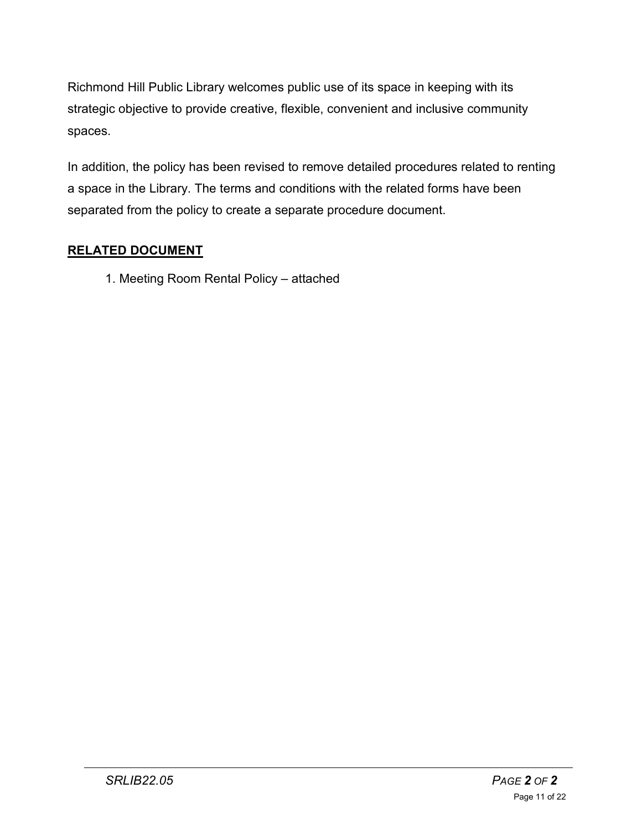Richmond Hill Public Library welcomes public use of its space in keeping with its strategic objective to provide creative, flexible, convenient and inclusive community spaces.

In addition, the policy has been revised to remove detailed procedures related to renting a space in the Library. The terms and conditions with the related forms have been separated from the policy to create a separate procedure document.

## **RELATED DOCUMENT**

1. Meeting Room Rental Policy – attached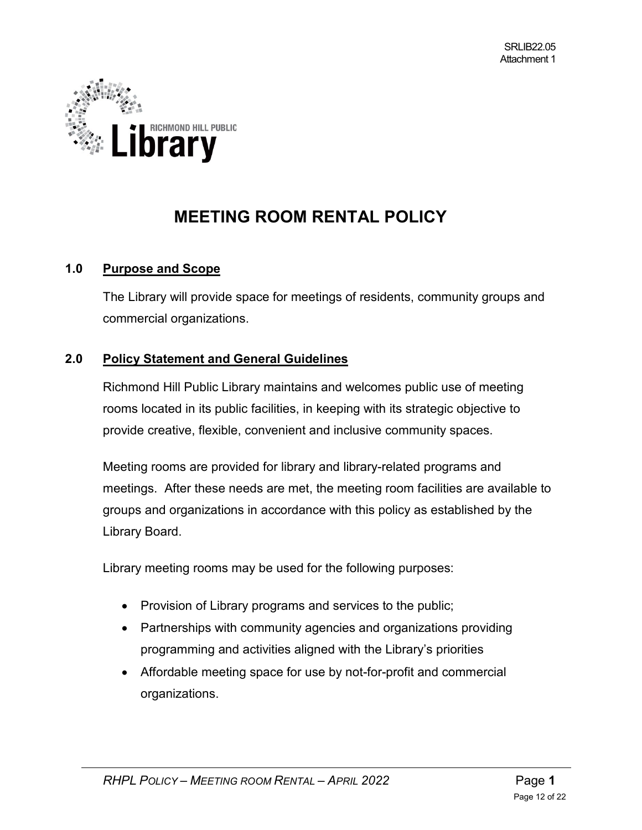

# **MEETING ROOM RENTAL POLICY**

#### **1.0 Purpose and Scope**

The Library will provide space for meetings of residents, community groups and commercial organizations.

#### **2.0 Policy Statement and General Guidelines**

Richmond Hill Public Library maintains and welcomes public use of meeting rooms located in its public facilities, in keeping with its strategic objective to provide creative, flexible, convenient and inclusive community spaces.

Meeting rooms are provided for library and library-related programs and meetings. After these needs are met, the meeting room facilities are available to groups and organizations in accordance with this policy as established by the Library Board.

Library meeting rooms may be used for the following purposes:

- Provision of Library programs and services to the public;
- Partnerships with community agencies and organizations providing programming and activities aligned with the Library's priorities
- Affordable meeting space for use by not-for-profit and commercial organizations.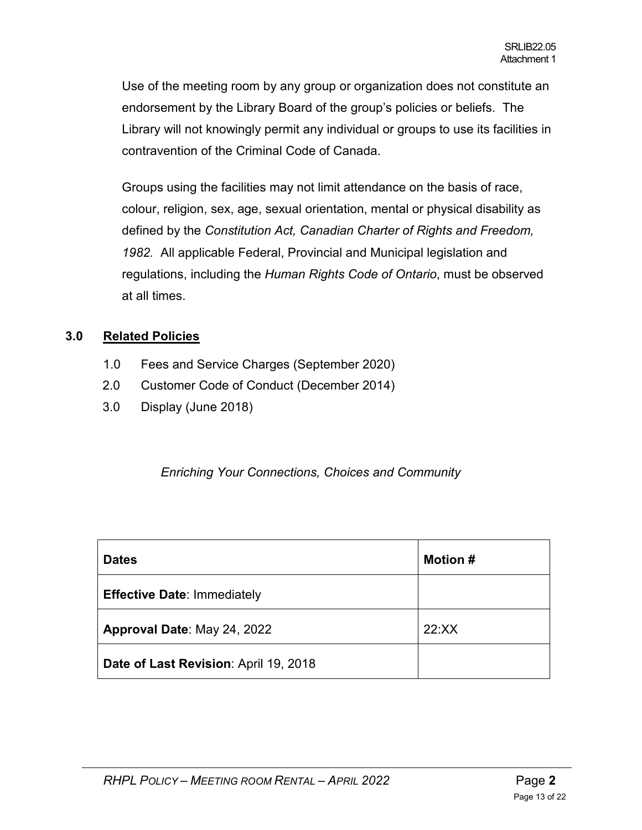Use of the meeting room by any group or organization does not constitute an endorsement by the Library Board of the group's policies or beliefs. The Library will not knowingly permit any individual or groups to use its facilities in contravention of the Criminal Code of Canada.

Groups using the facilities may not limit attendance on the basis of race, colour, religion, sex, age, sexual orientation, mental or physical disability as defined by the *Constitution Act, Canadian Charter of Rights and Freedom, 1982.* All applicable Federal, Provincial and Municipal legislation and regulations, including the *Human Rights Code of Ontario*, must be observed at all times.

#### **3.0 Related Policies**

- 1.0 Fees and Service Charges (September 2020)
- 2.0 Customer Code of Conduct (December 2014)
- 3.0 Display (June 2018)

*Enriching Your Connections, Choices and Community*

| <b>Dates</b>                          | <b>Motion #</b> |
|---------------------------------------|-----------------|
| <b>Effective Date: Immediately</b>    |                 |
| Approval Date: May 24, 2022           | 22:XX           |
| Date of Last Revision: April 19, 2018 |                 |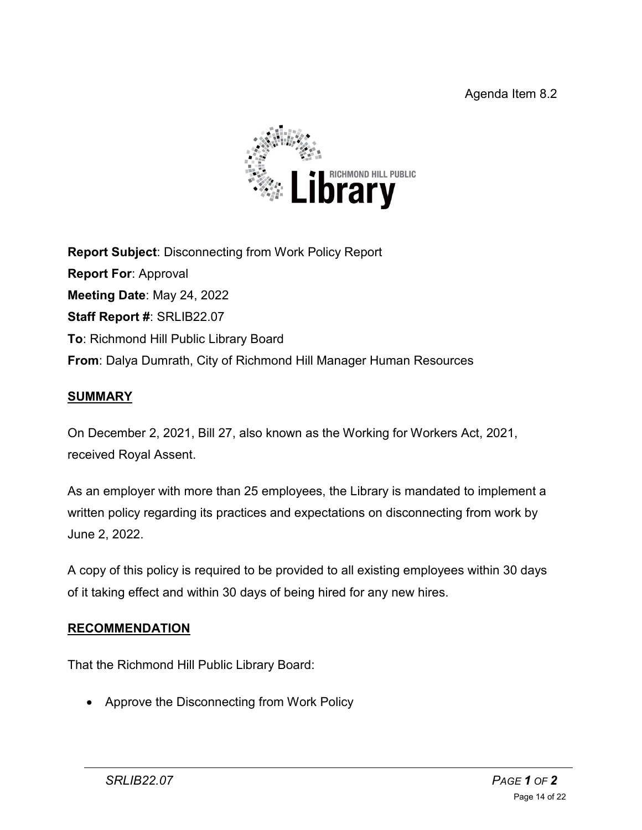

**Report Subject**: Disconnecting from Work Policy Report **Report For**: Approval **Meeting Date**: May 24, 2022 **Staff Report #**: SRLIB22.07 **To**: Richmond Hill Public Library Board **From**: Dalya Dumrath, City of Richmond Hill Manager Human Resources

## **SUMMARY**

On December 2, 2021, [Bill 27, also known as the Working for Workers Act, 2021,](https://www.ontario.ca/document/your-guide-employment-standards-act-0/) received Royal Assent.

As an employer with more than 25 employees, the Library is mandated to implement a written policy regarding its practices and expectations on disconnecting from work by June 2, 2022.

A copy of this policy is required to be provided to all existing employees within 30 days of it taking effect and within 30 days of being hired for any new hires.

## **RECOMMENDATION**

That the Richmond Hill Public Library Board:

• Approve the Disconnecting from Work Policy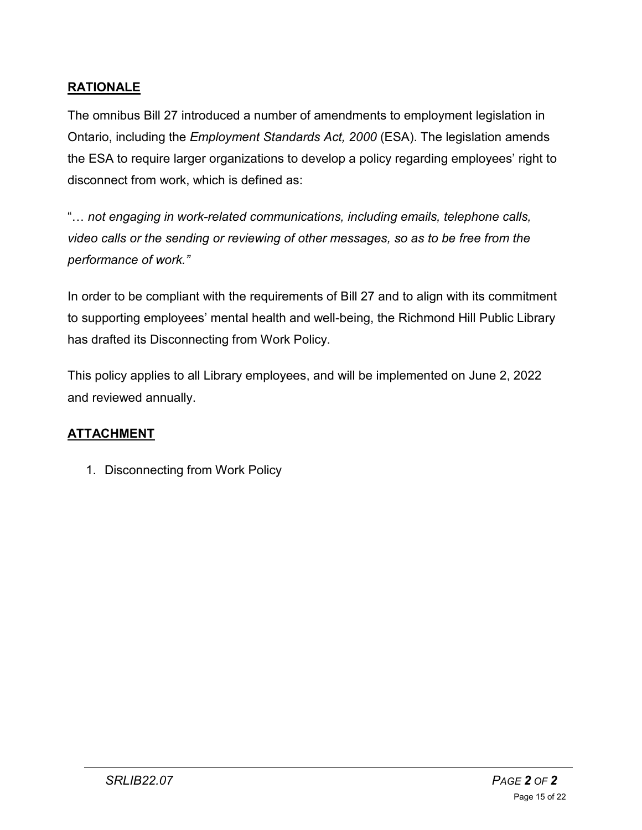## **RATIONALE**

The omnibus Bill 27 introduced a number of amendments to employment legislation in Ontario, including the *Employment Standards Act, 2000* (ESA). The legislation amends the ESA to require larger organizations to develop a policy regarding employees' right to disconnect from work, which is defined as:

"… *not engaging in work-related communications, including emails, telephone calls, video calls or the sending or reviewing of other messages, so as to be free from the performance of work."*

In order to be compliant with the requirements of Bill 27 and to align with its commitment to supporting employees' mental health and well-being, the Richmond Hill Public Library has drafted its Disconnecting from Work Policy.

This policy applies to all Library employees, and will be implemented on June 2, 2022 and reviewed annually.

## **ATTACHMENT**

1. Disconnecting from Work Policy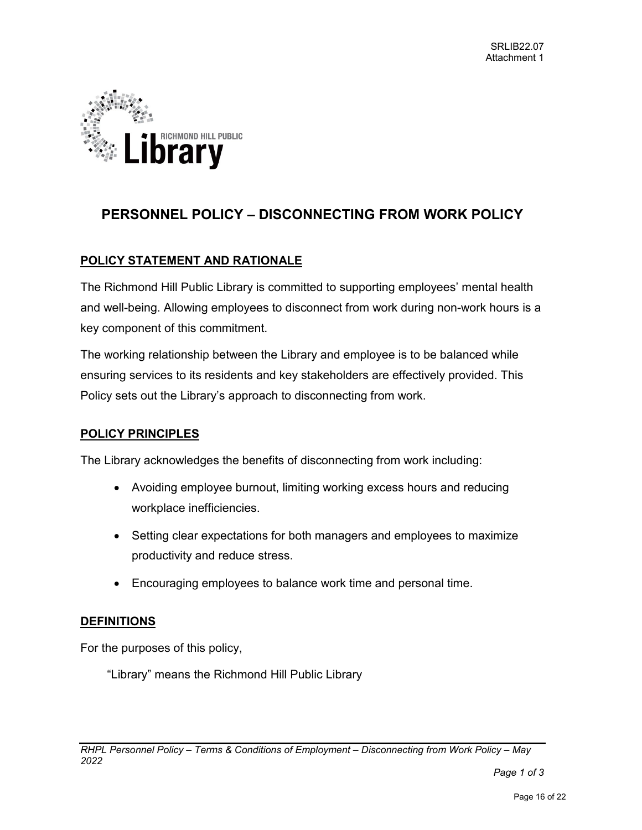

## **PERSONNEL POLICY – DISCONNECTING FROM WORK POLICY**

#### **POLICY STATEMENT AND RATIONALE**

The Richmond Hill Public Library is committed to supporting employees' mental health and well-being. Allowing employees to disconnect from work during non-work hours is a key component of this commitment.

The working relationship between the Library and employee is to be balanced while ensuring services to its residents and key stakeholders are effectively provided. This Policy sets out the Library's approach to disconnecting from work.

#### **POLICY PRINCIPLES**

The Library acknowledges the benefits of disconnecting from work including:

- Avoiding employee burnout, limiting working excess hours and reducing workplace inefficiencies.
- Setting clear expectations for both managers and employees to maximize productivity and reduce stress.
- Encouraging employees to balance work time and personal time.

#### **DEFINITIONS**

For the purposes of this policy,

"Library" means the Richmond Hill Public Library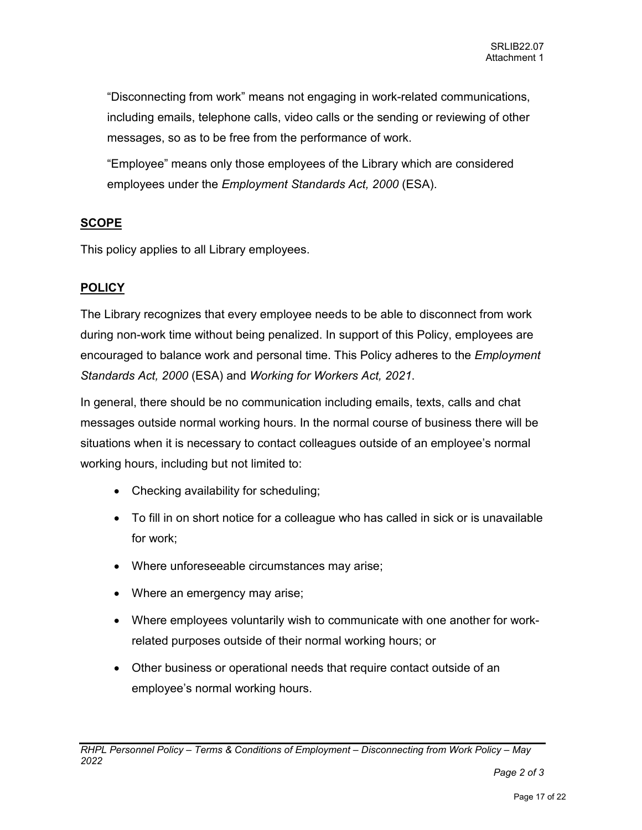"Disconnecting from work" means not engaging in work-related communications, including emails, telephone calls, video calls or the sending or reviewing of other messages, so as to be free from the performance of work.

"Employee" means only those employees of the Library which are considered employees under the *Employment Standards Act, 2000* (ESA).

#### **SCOPE**

This policy applies to all Library employees.

#### **POLICY**

The Library recognizes that every employee needs to be able to disconnect from work during non-work time without being penalized. In support of this Policy, employees are encouraged to balance work and personal time. This Policy adheres to the *Employment Standards Act, 2000* (ESA) and *Working for Workers Act, 2021*.

In general, there should be no communication including emails, texts, calls and chat messages outside normal working hours. In the normal course of business there will be situations when it is necessary to contact colleagues outside of an employee's normal working hours, including but not limited to:

- Checking availability for scheduling;
- To fill in on short notice for a colleague who has called in sick or is unavailable for work;
- Where unforeseeable circumstances may arise;
- Where an emergency may arise;
- Where employees voluntarily wish to communicate with one another for workrelated purposes outside of their normal working hours; or
- Other business or operational needs that require contact outside of an employee's normal working hours.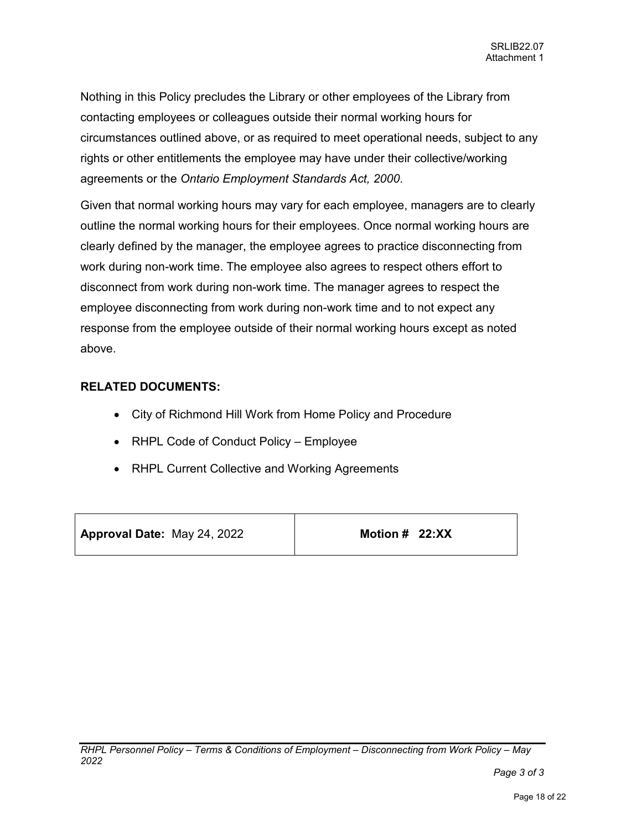Nothing in this Policy precludes the Library or other employees of the Library from contacting employees or colleagues outside their normal working hours for circumstances outlined above, or as required to meet operational needs, subject to any rights or other entitlements the employee may have under their collective/working agreements or the *Ontario Employment Standards Act, 2000*.

Given that normal working hours may vary for each employee, managers are to clearly outline the normal working hours for their employees. Once normal working hours are clearly defined by the manager, the employee agrees to practice disconnecting from work during non-work time. The employee also agrees to respect others effort to disconnect from work during non-work time. The manager agrees to respect the employee disconnecting from work during non-work time and to not expect any response from the employee outside of their normal working hours except as noted above.

#### **RELATED DOCUMENTS:**

- City of Richmond Hill Work from Home Policy and Procedure
- RHPL Code of Conduct Policy Employee
- RHPL Current Collective and Working Agreements

**Approval Date:** May 24, 2022

**Motion # 22:XX**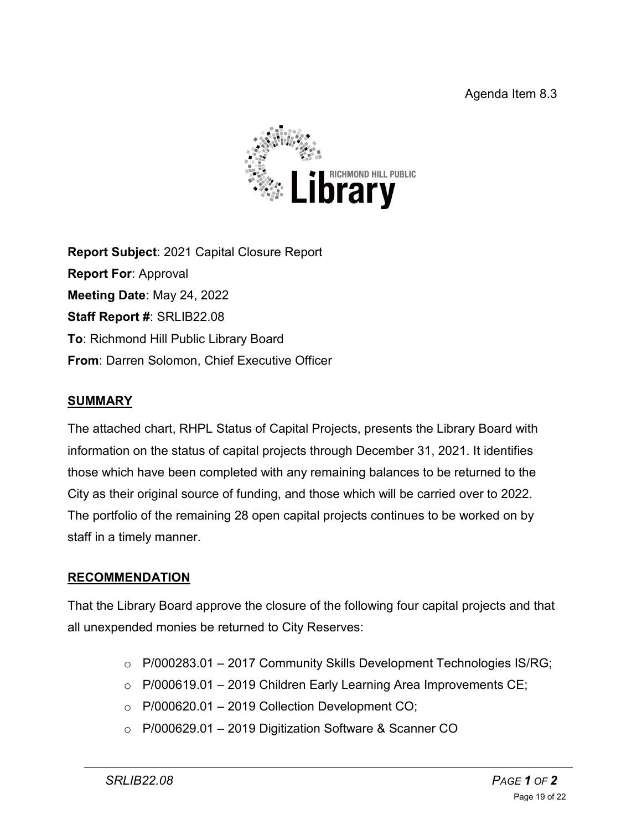

**Report Subject**: 2021 Capital Closure Report **Report For**: Approval **Meeting Date**: May 24, 2022 **Staff Report #**: SRLIB22.08 **To**: Richmond Hill Public Library Board **From**: Darren Solomon, Chief Executive Officer

## **SUMMARY**

The attached chart, RHPL Status of Capital Projects, presents the Library Board with information on the status of capital projects through December 31, 2021. It identifies those which have been completed with any remaining balances to be returned to the City as their original source of funding, and those which will be carried over to 2022. The portfolio of the remaining 28 open capital projects continues to be worked on by staff in a timely manner.

## **RECOMMENDATION**

That the Library Board approve the closure of the following four capital projects and that all unexpended monies be returned to City Reserves:

- $\circ$  P/000283.01 2017 Community Skills Development Technologies IS/RG;
- $\circ$  P/000619.01 2019 Children Early Learning Area Improvements CE;
- $\circ$  P/000620.01 2019 Collection Development CO;
- o P/000629.01 2019 Digitization Software & Scanner CO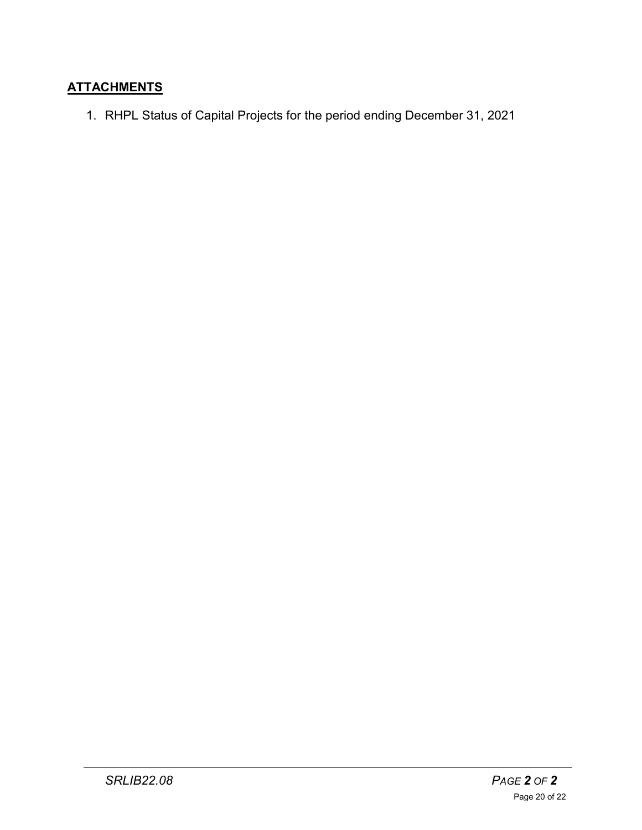## **ATTACHMENTS**

1. RHPL Status of Capital Projects for the period ending December 31, 2021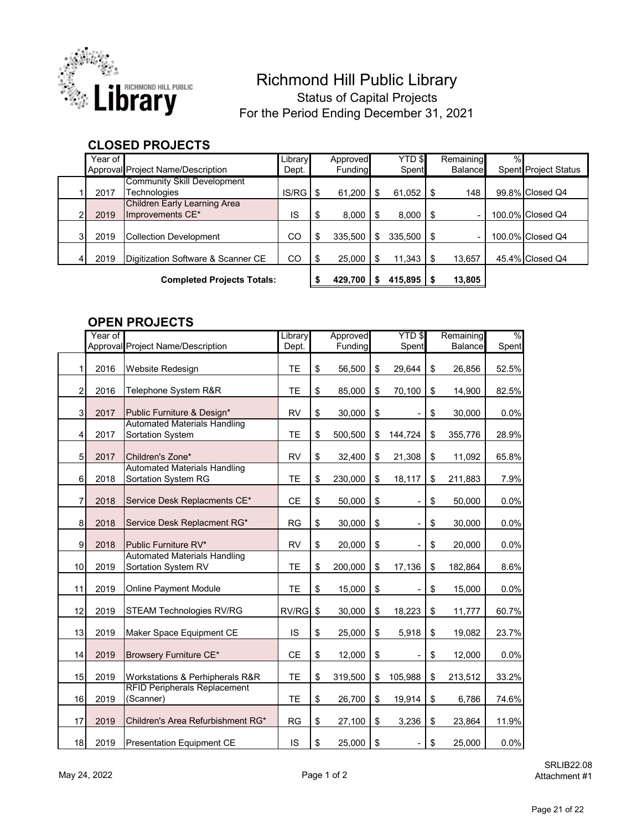

## Richmond Hill Public Library Status of Capital Projects For the Period Ending December 31, 2021

## **CLOSED PROJECTS**

| Year of                           |                                                  | Library | Approved      |         | <b>YTD \$</b>  | Remaining      | $\%$ |                             |
|-----------------------------------|--------------------------------------------------|---------|---------------|---------|----------------|----------------|------|-----------------------------|
|                                   | Approval Project Name/Description                | Dept.   | Funding       |         | Spent          | <b>Balance</b> |      | <b>Spent Project Status</b> |
| 2017                              | Community Skill Development<br>Technologies      | IS/RG   | 61,200        | S       | $61,052$ \$    | 148            |      | 99.8% Closed Q4             |
| 2019                              | Children Early Learning Area<br>Improvements CE* | IS      | \$<br>8.000   |         | 8,000          |                |      | 100.0% Closed Q4            |
| 2019                              | <b>Collection Development</b>                    | CO      | \$<br>335.500 | \$      | $335.500$ \ \$ |                |      | 100.0% Closed Q4            |
| 2019                              | Digitization Software & Scanner CE               | CO      | \$<br>25.000  | \$      | 11.343         | 13,657         |      | 45.4% Closed Q4             |
| <b>Completed Projects Totals:</b> |                                                  | 429,700 |               | 415.895 | 13,805         |                |      |                             |

#### **OPEN PROJECTS**

|                         | Year of | Approval Project Name/Description                          | Library<br>Dept. | Approved<br>Funding | YTD \$<br>Spent | Remaining<br><b>Balance</b> | $\%$<br>Spent |
|-------------------------|---------|------------------------------------------------------------|------------------|---------------------|-----------------|-----------------------------|---------------|
| 1                       | 2016    | Website Redesign                                           | <b>TE</b>        | \$<br>56,500        | \$<br>29,644    | \$<br>26,856                | 52.5%         |
| $\sqrt{2}$              | 2016    | Telephone System R&R                                       | TE               | \$<br>85,000        | \$<br>70,100    | \$<br>14,900                | 82.5%         |
| $\mathsf 3$             | 2017    | Public Furniture & Design*                                 | <b>RV</b>        | \$<br>30,000        | \$              | \$<br>30,000                | 0.0%          |
| $\overline{\mathbf{4}}$ | 2017    | <b>Automated Materials Handling</b><br>Sortation System    | <b>TE</b>        | \$<br>500,500       | \$<br>144,724   | \$<br>355,776               | 28.9%         |
| 5                       | 2017    | Children's Zone*                                           | <b>RV</b>        | \$<br>32,400        | \$<br>21,308    | \$<br>11,092                | 65.8%         |
| 6                       | 2018    | <b>Automated Materials Handling</b><br>Sortation System RG | <b>TE</b>        | \$<br>230,000       | \$<br>18,117    | \$<br>211,883               | 7.9%          |
| 7                       | 2018    | Service Desk Replacments CE*                               | CE               | \$<br>50,000        | \$              | \$<br>50,000                | 0.0%          |
| 8                       | 2018    | Service Desk Replacment RG*                                | <b>RG</b>        | \$<br>30,000        | \$              | \$<br>30,000                | 0.0%          |
| 9                       | 2018    | Public Furniture RV*                                       | <b>RV</b>        | \$<br>20,000        | \$              | \$<br>20,000                | 0.0%          |
| 10                      | 2019    | <b>Automated Materials Handling</b><br>Sortation System RV | TE               | \$<br>200,000       | \$<br>17,136    | \$<br>182,864               | 8.6%          |
| 11                      | 2019    | Online Payment Module                                      | <b>TE</b>        | \$<br>15,000        | \$              | \$<br>15,000                | 0.0%          |
| 12                      | 2019    | <b>STEAM Technologies RV/RG</b>                            | RV/RG            | \$<br>30,000        | \$<br>18,223    | \$<br>11,777                | 60.7%         |
| 13                      | 2019    | Maker Space Equipment CE                                   | IS               | \$<br>25,000        | \$<br>5,918     | \$<br>19,082                | 23.7%         |
| 14                      | 2019    | Browsery Furniture CE*                                     | <b>CE</b>        | \$<br>12,000        | \$              | \$<br>12,000                | 0.0%          |
| 15                      | 2019    | Workstations & Perhipherals R&R                            | TE               | \$<br>319,500       | \$<br>105,988   | \$<br>213,512               | 33.2%         |
| 16                      | 2019    | <b>RFID Peripherals Replacement</b><br>(Scanner)           | <b>TE</b>        | \$<br>26,700        | \$<br>19,914    | \$<br>6,786                 | 74.6%         |
| 17                      | 2019    | Children's Area Refurbishment RG*                          | <b>RG</b>        | \$<br>27,100        | \$<br>3,236     | \$<br>23,864                | 11.9%         |
| 18                      | 2019    | <b>Presentation Equipment CE</b>                           | IS               | \$<br>25,000        | \$              | \$<br>25,000                | 0.0%          |

SRLIB22.08 Attachment #1